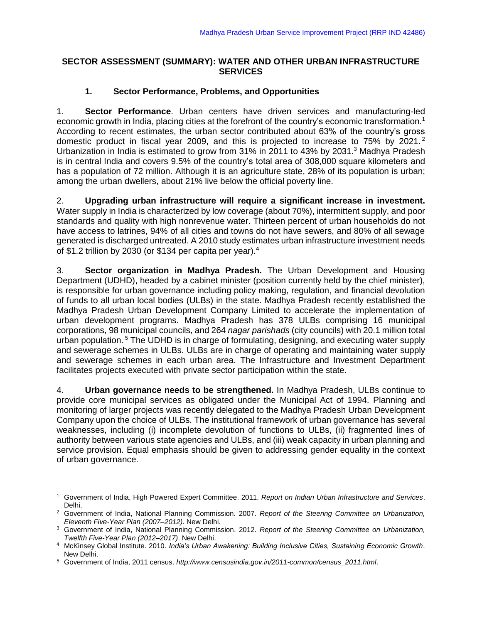#### **SECTOR ASSESSMENT (SUMMARY): WATER AND OTHER URBAN INFRASTRUCTURE SERVICES**

### **1. Sector Performance, Problems, and Opportunities**

1. **Sector Performance**. Urban centers have driven services and manufacturing-led economic growth in India, placing cities at the forefront of the country's economic transformation.<sup>1</sup> According to recent estimates, the urban sector contributed about 63% of the country's gross domestic product in fiscal year 2009, and this is projected to increase to 75% by 2021. <sup>2</sup> Urbanization in India is estimated to grow from 31% in 2011 to 43% by 2031.<sup>3</sup> Madhya Pradesh is in central India and covers 9.5% of the country's total area of 308,000 square kilometers and has a population of 72 million. Although it is an agriculture state, 28% of its population is urban; among the urban dwellers, about 21% live below the official poverty line.

2. **Upgrading urban infrastructure will require a significant increase in investment.** Water supply in India is characterized by low coverage (about 70%), intermittent supply, and poor standards and quality with high nonrevenue water. Thirteen percent of urban households do not have access to latrines, 94% of all cities and towns do not have sewers, and 80% of all sewage generated is discharged untreated. A 2010 study estimates urban infrastructure investment needs of \$1.2 trillion by 2030 (or \$134 per capita per year).<sup>4</sup>

3. **Sector organization in Madhya Pradesh.** The Urban Development and Housing Department (UDHD), headed by a cabinet minister (position currently held by the chief minister), is responsible for urban governance including policy making, regulation, and financial devolution of funds to all urban local bodies (ULBs) in the state. Madhya Pradesh recently established the Madhya Pradesh Urban Development Company Limited to accelerate the implementation of urban development programs. Madhya Pradesh has 378 ULBs comprising 16 municipal corporations, 98 municipal councils, and 264 *nagar parishads* (city councils) with 20.1 million total urban population.<sup>5</sup> The UDHD is in charge of formulating, designing, and executing water supply and sewerage schemes in ULBs. ULBs are in charge of operating and maintaining water supply and sewerage schemes in each urban area. The Infrastructure and Investment Department facilitates projects executed with private sector participation within the state.

4. **Urban governance needs to be strengthened.** In Madhya Pradesh, ULBs continue to provide core municipal services as obligated under the Municipal Act of 1994. Planning and monitoring of larger projects was recently delegated to the Madhya Pradesh Urban Development Company upon the choice of ULBs. The institutional framework of urban governance has several weaknesses, including (i) incomplete devolution of functions to ULBs, (ii) fragmented lines of authority between various state agencies and ULBs, and (iii) weak capacity in urban planning and service provision. Equal emphasis should be given to addressing gender equality in the context of urban governance.

 <sup>1</sup> Government of India, High Powered Expert Committee. 2011. *Report on Indian Urban Infrastructure and Services*. Delhi.

<sup>2</sup> Government of India, National Planning Commission. 2007. *Report of the Steering Committee on Urbanization, Eleventh Five-Year Plan (2007–2012)*. New Delhi.

<sup>3</sup> Government of India, National Planning Commission. 2012. *Report of the Steering Committee on Urbanization, Twelfth Five-Year Plan (2012–2017)*. New Delhi.

<sup>4</sup> McKinsey Global Institute. 2010. *India's Urban Awakening: Building Inclusive Cities, Sustaining Economic Growth*. New Delhi.

<sup>5</sup> Government of India, 2011 census. *http://www.censusindia.gov.in/2011-common/census\_2011.html*.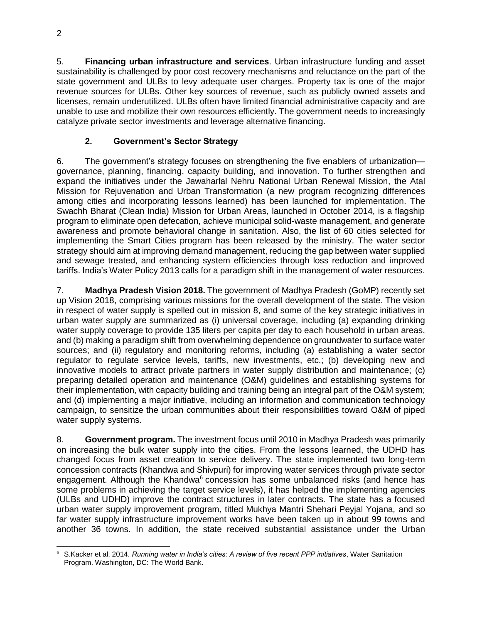5. **Financing urban infrastructure and services**. Urban infrastructure funding and asset sustainability is challenged by poor cost recovery mechanisms and reluctance on the part of the state government and ULBs to levy adequate user charges. Property tax is one of the major revenue sources for ULBs. Other key sources of revenue, such as publicly owned assets and licenses, remain underutilized. ULBs often have limited financial administrative capacity and are unable to use and mobilize their own resources efficiently. The government needs to increasingly catalyze private sector investments and leverage alternative financing.

# **2. Government's Sector Strategy**

6. The government's strategy focuses on strengthening the five enablers of urbanization governance, planning, financing, capacity building, and innovation. To further strengthen and expand the initiatives under the Jawaharlal Nehru National Urban Renewal Mission, the Atal Mission for Rejuvenation and Urban Transformation (a new program recognizing differences among cities and incorporating lessons learned) has been launched for implementation. The Swachh Bharat (Clean India) Mission for Urban Areas, launched in October 2014, is a flagship program to eliminate open defecation, achieve municipal solid-waste management, and generate awareness and promote behavioral change in sanitation. Also, the list of 60 cities selected for implementing the Smart Cities program has been released by the ministry. The water sector strategy should aim at improving demand management, reducing the gap between water supplied and sewage treated, and enhancing system efficiencies through loss reduction and improved tariffs. India's Water Policy 2013 calls for a paradigm shift in the management of water resources.

7. **Madhya Pradesh Vision 2018.** The government of Madhya Pradesh (GoMP) recently set up Vision 2018, comprising various missions for the overall development of the state. The vision in respect of water supply is spelled out in mission 8, and some of the key strategic initiatives in urban water supply are summarized as (i) universal coverage, including (a) expanding drinking water supply coverage to provide 135 liters per capita per day to each household in urban areas, and (b) making a paradigm shift from overwhelming dependence on groundwater to surface water sources; and (ii) regulatory and monitoring reforms, including (a) establishing a water sector regulator to regulate service levels, tariffs, new investments, etc.; (b) developing new and innovative models to attract private partners in water supply distribution and maintenance; (c) preparing detailed operation and maintenance (O&M) guidelines and establishing systems for their implementation, with capacity building and training being an integral part of the O&M system; and (d) implementing a major initiative, including an information and communication technology campaign, to sensitize the urban communities about their responsibilities toward O&M of piped water supply systems.

8. **Government program.** The investment focus until 2010 in Madhya Pradesh was primarily on increasing the bulk water supply into the cities. From the lessons learned, the UDHD has changed focus from asset creation to service delivery. The state implemented two long-term concession contracts (Khandwa and Shivpuri) for improving water services through private sector engagement. Although the Khandwa $<sup>6</sup>$  concession has some unbalanced risks (and hence has</sup> some problems in achieving the target service levels), it has helped the implementing agencies (ULBs and UDHD) improve the contract structures in later contracts. The state has a focused urban water supply improvement program, titled Mukhya Mantri Shehari Peyjal Yojana*,* and so far water supply infrastructure improvement works have been taken up in about 99 towns and another 36 towns. In addition, the state received substantial assistance under the Urban

 $\overline{a}$ <sup>6</sup> S.Kacker et al. 2014. *Running water in India's cities: A review of five recent PPP initiatives*, Water Sanitation Program. Washington, DC: The World Bank.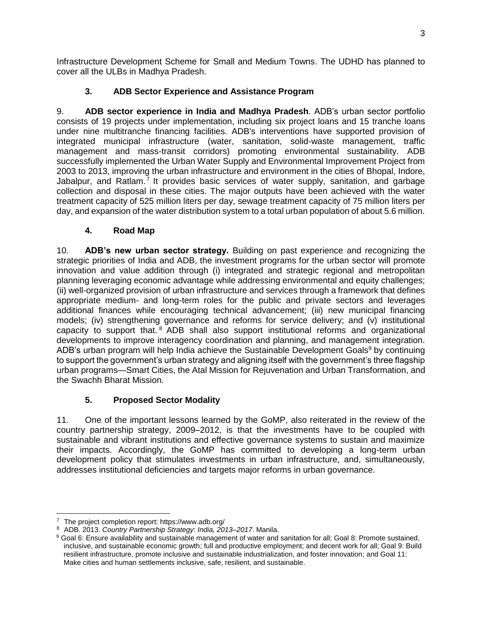Infrastructure Development Scheme for Small and Medium Towns. The UDHD has planned to cover all the ULBs in Madhya Pradesh.

## **3. ADB Sector Experience and Assistance Program**

9. **ADB sector experience in India and Madhya Pradesh**. ADB's urban sector portfolio consists of 19 projects under implementation, including six project loans and 15 tranche loans under nine multitranche financing facilities. ADB's interventions have supported provision of integrated municipal infrastructure (water, sanitation, solid-waste management, traffic management and mass-transit corridors) promoting environmental sustainability. ADB successfully implemented the Urban Water Supply and Environmental Improvement Project from 2003 to 2013, improving the urban infrastructure and environment in the cities of Bhopal, Indore, Jabalpur, and Ratlam.<sup>7</sup> It provides basic services of water supply, sanitation, and garbage collection and disposal in these cities. The major outputs have been achieved with the water treatment capacity of 525 million liters per day, sewage treatment capacity of 75 million liters per day, and expansion of the water distribution system to a total urban population of about 5.6 million.

## **4. Road Map**

10. **ADB's new urban sector strategy.** Building on past experience and recognizing the strategic priorities of India and ADB, the investment programs for the urban sector will promote innovation and value addition through (i) integrated and strategic regional and metropolitan planning leveraging economic advantage while addressing environmental and equity challenges; (ii) well-organized provision of urban infrastructure and services through a framework that defines appropriate medium- and long-term roles for the public and private sectors and leverages additional finances while encouraging technical advancement; (iii) new municipal financing models; (iv) strengthening governance and reforms for service delivery; and (v) institutional capacity to support that.<sup>8</sup> ADB shall also support institutional reforms and organizational developments to improve interagency coordination and planning, and management integration. ADB's urban program will help India achieve the Sustainable Development Goals<sup>9</sup> by continuing to support the government's urban strategy and aligning itself with the government's three flagship urban programs—Smart Cities, the Atal Mission for Rejuvenation and Urban Transformation, and the Swachh Bharat Mission.

## **5. Proposed Sector Modality**

11. One of the important lessons learned by the GoMP, also reiterated in the review of the country partnership strategy, 2009–2012, is that the investments have to be coupled with sustainable and vibrant institutions and effective governance systems to sustain and maximize their impacts. Accordingly, the GoMP has committed to developing a long-term urban development policy that stimulates investments in urban infrastructure, and, simultaneously, addresses institutional deficiencies and targets major reforms in urban governance.

 <sup>7</sup> The project completion report: https://www.adb.org/<br><sup>8</sup> ADB 2013 Country Partnership Strategy, India 2013

<sup>8</sup> ADB. 2013. *Country Partnership Strategy*: *India, 2013–2017*. Manila.

<sup>9</sup> Goal 6: Ensure availability and sustainable management of water and sanitation for all; Goal 8: Promote sustained, inclusive, and sustainable economic growth; full and productive employment; and decent work for all; Goal 9: Build resilient infrastructure, promote inclusive and sustainable industrialization, and foster innovation; and Goal 11: Make cities and human settlements inclusive, safe, resilient, and sustainable.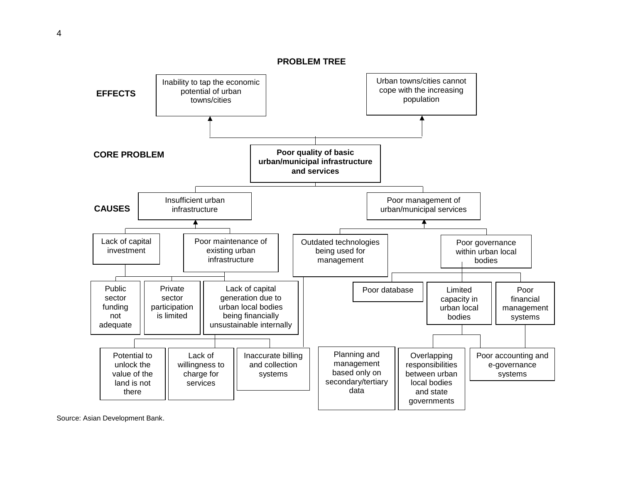4

**PROBLEM TREE**



Source: Asian Development Bank.